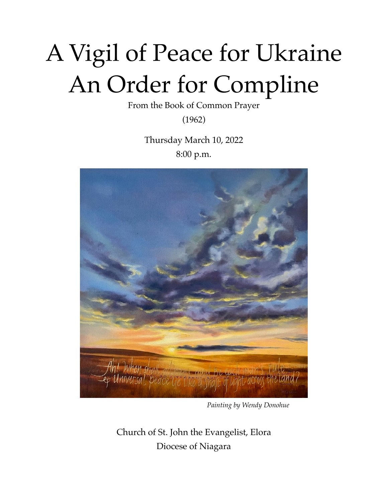# A Vigil of Peace for Ukraine An Order for Compline

From the Book of Common Prayer

(1962)

Thursday March 10, 2022 8:00 p.m.



*Painting by Wendy Donohue*

Church of St. John the Evangelist, Elora Diocese of Niagara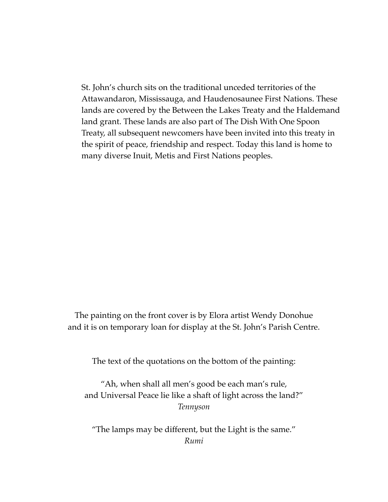St. John's church sits on the traditional unceded territories of the Attawandaron, Mississauga, and Haudenosaunee First Nations. These lands are covered by the Between the Lakes Treaty and the Haldemand land grant. These lands are also part of The Dish With One Spoon Treaty, all subsequent newcomers have been invited into this treaty in the spirit of peace, friendship and respect. Today this land is home to many diverse Inuit, Metis and First Nations peoples.

The painting on the front cover is by Elora artist Wendy Donohue and it is on temporary loan for display at the St. John's Parish Centre.

The text of the quotations on the bottom of the painting:

"Ah, when shall all men's good be each man's rule, and Universal Peace lie like a shaft of light across the land?" *Tennyson*

"The lamps may be different, but the Light is the same." *Rumi*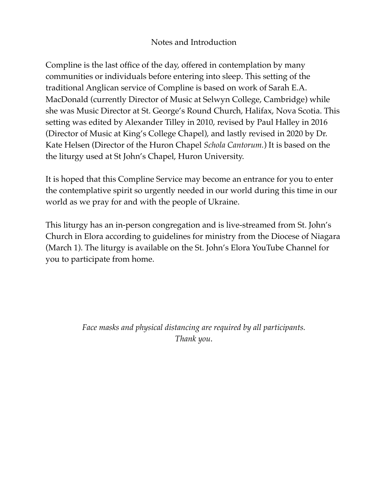## Notes and Introduction

Compline is the last office of the day, offered in contemplation by many communities or individuals before entering into sleep. This setting of the traditional Anglican service of Compline is based on work of Sarah E.A. MacDonald (currently Director of Music at Selwyn College, Cambridge) while she was Music Director at St. George's Round Church, Halifax, Nova Scotia. This setting was edited by Alexander Tilley in 2010, revised by Paul Halley in 2016 (Director of Music at King's College Chapel), and lastly revised in 2020 by Dr. Kate Helsen (Director of the Huron Chapel *Schola Cantorum.*) It is based on the the liturgy used at St John's Chapel, Huron University.

It is hoped that this Compline Service may become an entrance for you to enter the contemplative spirit so urgently needed in our world during this time in our world as we pray for and with the people of Ukraine.

This liturgy has an in-person congregation and is live-streamed from St. John's Church in Elora according to guidelines for ministry from the Diocese of Niagara (March 1). The liturgy is available on the St. John's Elora YouTube Channel for you to participate from home.

> *Face masks and physical distancing are required by all participants. Thank you*.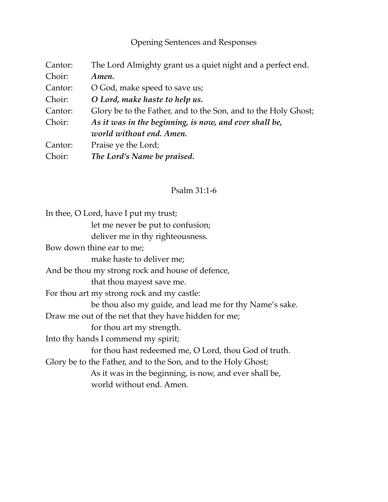Opening Sentences and Responses

| Cantor: | The Lord Almighty grant us a quiet night and a perfect end.    |
|---------|----------------------------------------------------------------|
| Choir:  | Amen.                                                          |
| Cantor: | O God, make speed to save us;                                  |
| Choir:  | O Lord, make haste to help us.                                 |
| Cantor: | Glory be to the Father, and to the Son, and to the Holy Ghost; |
| Choir:  | As it was in the beginning, is now, and ever shall be,         |
|         | world without end. Amen.                                       |
| Cantor: | Praise ye the Lord;                                            |
| Choir:  | The Lord's Name be praised.                                    |

# Psalm 31:1-6

| In thee, O Lord, have I put my trust;                          |
|----------------------------------------------------------------|
| let me never be put to confusion;                              |
| deliver me in thy righteousness.                               |
| Bow down thine ear to me;                                      |
| make haste to deliver me;                                      |
| And be thou my strong rock and house of defence,               |
| that thou mayest save me.                                      |
| For thou art my strong rock and my castle:                     |
| be thou also my guide, and lead me for thy Name's sake.        |
| Draw me out of the net that they have hidden for me;           |
| for thou art my strength.                                      |
| Into thy hands I commend my spirit;                            |
| for thou hast redeemed me, O Lord, thou God of truth.          |
| Glory be to the Father, and to the Son, and to the Holy Ghost; |
| As it was in the beginning, is now, and ever shall be,         |
| world without end. Amen.                                       |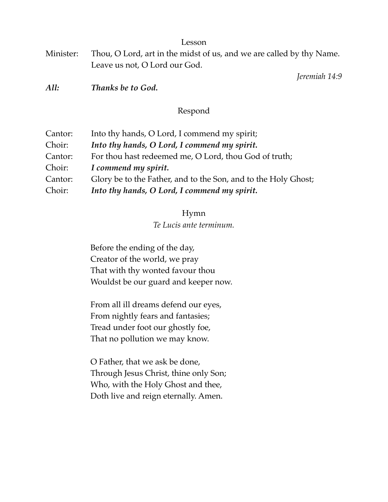Lesson

| Minister: Thou, O Lord, art in the midst of us, and we are called by thy Name. |
|--------------------------------------------------------------------------------|
| Leave us not, O Lord our God.                                                  |

*Jeremiah 14:9*

*All: Thanks be to God.*

## Respond

| Cantor: | Into thy hands, O Lord, I commend my spirit;                   |
|---------|----------------------------------------------------------------|
| Choir:  | Into thy hands, O Lord, I commend my spirit.                   |
| Cantor: | For thou hast redeemed me, O Lord, thou God of truth;          |
| Choir:  | I commend my spirit.                                           |
| Cantor: | Glory be to the Father, and to the Son, and to the Holy Ghost; |
| Choir:  | Into thy hands, O Lord, I commend my spirit.                   |

## Hymn

*Te Lucis ante terminum.* 

Before the ending of the day, Creator of the world, we pray That with thy wonted favour thou Wouldst be our guard and keeper now.

From all ill dreams defend our eyes, From nightly fears and fantasies; Tread under foot our ghostly foe, That no pollution we may know.

O Father, that we ask be done, Through Jesus Christ, thine only Son; Who, with the Holy Ghost and thee, Doth live and reign eternally. Amen.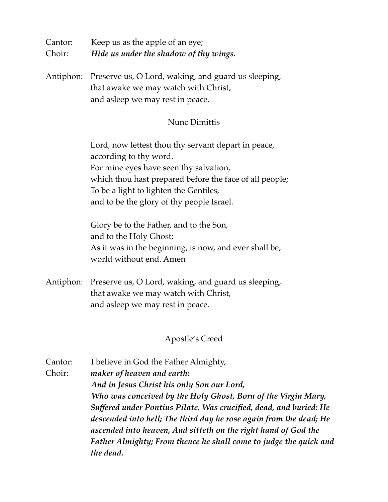| Cantor: | Keep us as the apple of an eye;        |
|---------|----------------------------------------|
| Choir:  | Hide us under the shadow of thy wings. |

Antiphon: Preserve us, O Lord, waking, and guard us sleeping, that awake we may watch with Christ, and asleep we may rest in peace.

#### Nunc Dimittis

Lord, now lettest thou thy servant depart in peace, according to thy word. For mine eyes have seen thy salvation, which thou hast prepared before the face of all people; To be a light to lighten the Gentiles, and to be the glory of thy people Israel.

Glory be to the Father, and to the Son, and to the Holy Ghost; As it was in the beginning, is now, and ever shall be, world without end. Amen

Antiphon: Preserve us, O Lord, waking, and guard us sleeping, that awake we may watch with Christ, and asleep we may rest in peace.

#### Apostle's Creed

Cantor: I believe in God the Father Almighty, Choir: *maker of heaven and earth: And in Jesus Christ his only Son our Lord, Who was conceived by the Holy Ghost, Born of the Virgin Mary, Suffered under Pontius Pilate, Was crucified, dead, and buried: He descended into hell; The third day he rose again from the dead; He ascended into heaven, And sitteth on the right hand of God the Father Almighty; From thence he shall come to judge the quick and the dead.*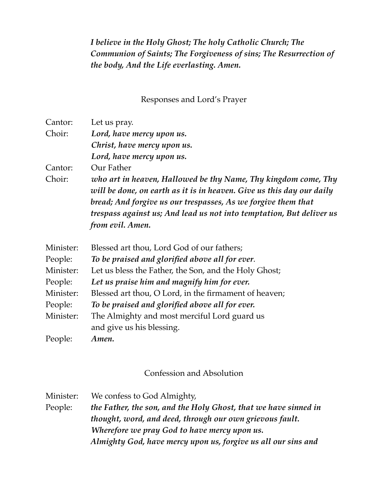*I believe in the Holy Ghost; The holy Catholic Church; The Communion of Saints; The Forgiveness of sins; The Resurrection of the body, And the Life everlasting. Amen.* 

Responses and Lord's Prayer

| Cantor:   | Let us pray.                                                          |
|-----------|-----------------------------------------------------------------------|
| Choir:    | Lord, have mercy upon us.                                             |
|           | Christ, have mercy upon us.                                           |
|           | Lord, have mercy upon us.                                             |
| Cantor:   | Our Father                                                            |
| Choir:    | who art in heaven, Hallowed be thy Name, Thy kingdom come, Thy        |
|           | will be done, on earth as it is in heaven. Give us this day our daily |
|           | bread; And forgive us our trespasses, As we forgive them that         |
|           | trespass against us; And lead us not into temptation, But deliver us  |
|           | from evil. Amen.                                                      |
| Minister: | Blessed art thou, Lord God of our fathers;                            |
| People:   | To be praised and glorified above all for ever.                       |
| Minister: | Let us bless the Father, the Son, and the Holy Ghost;                 |
| People:   | Let us praise him and magnify him for ever.                           |
| Minister: | Blessed art thou, O Lord, in the firmament of heaven;                 |
| People:   | To be praised and glorified above all for ever.                       |
| Minister: | The Almighty and most merciful Lord guard us                          |
|           | and give us his blessing.                                             |
| People:   | Amen.                                                                 |

#### Confession and Absolution

Minister: We confess to God Almighty, People: *the Father, the son, and the Holy Ghost, that we have sinned in thought, word, and deed, through our own grievous fault. Wherefore we pray God to have mercy upon us. Almighty God, have mercy upon us, forgive us all our sins and*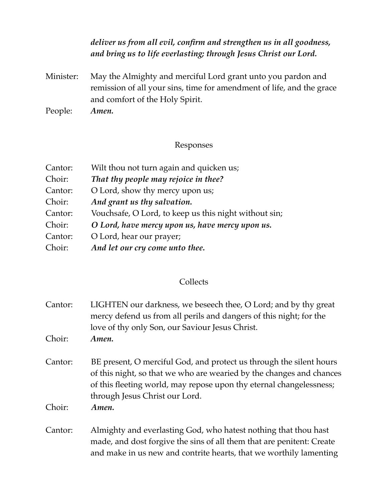## *deliver us from all evil, confirm and strengthen us in all goodness, and bring us to life everlasting; through Jesus Christ our Lord.*

Minister: May the Almighty and merciful Lord grant unto you pardon and remission of all your sins, time for amendment of life, and the grace and comfort of the Holy Spirit.

People: *Amen.* 

## Responses

| Cantor: | Wilt thou not turn again and quicken us;              |
|---------|-------------------------------------------------------|
| Choir:  | That thy people may rejoice in thee?                  |
| Cantor: | O Lord, show thy mercy upon us;                       |
| Choir:  | And grant us thy salvation.                           |
| Cantor: | Vouchsafe, O Lord, to keep us this night without sin; |
| Choir:  | O Lord, have mercy upon us, have mercy upon us.       |
| Cantor: | O Lord, hear our prayer;                              |
| Choir:  | And let our cry come unto thee.                       |

## **Collects**

| Cantor:<br>Choir: | LIGHTEN our darkness, we beseech thee, O Lord; and by thy great<br>mercy defend us from all perils and dangers of this night; for the<br>love of thy only Son, our Saviour Jesus Christ.<br>Amen.                                                    |
|-------------------|------------------------------------------------------------------------------------------------------------------------------------------------------------------------------------------------------------------------------------------------------|
| Cantor:           | BE present, O merciful God, and protect us through the silent hours<br>of this night, so that we who are wearied by the changes and chances<br>of this fleeting world, may repose upon thy eternal changelessness;<br>through Jesus Christ our Lord. |
| Choir:            | Amen.                                                                                                                                                                                                                                                |
| Cantor:           | Almighty and everlasting God, who hatest nothing that thou hast<br>made, and dost forgive the sins of all them that are penitent: Create<br>and make in us new and contrite hearts, that we worthily lamenting                                       |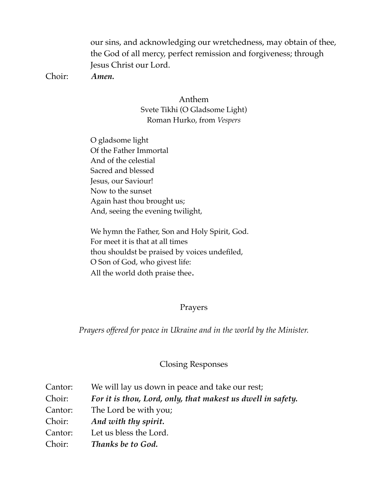our sins, and acknowledging our wretchedness, may obtain of thee, the God of all mercy, perfect remission and forgiveness; through Jesus Christ our Lord.

Choir: *Amen.* 

Anthem Svete Tikhi (O Gladsome Light) Roman Hurko, from *Vespers*

O gladsome light Of the Father Immortal And of the celestial Sacred and blessed Jesus, our Saviour! Now to the sunset Again hast thou brought us; And, seeing the evening twilight,

We hymn the Father, Son and Holy Spirit, God. For meet it is that at all times thou shouldst be praised by voices undefiled, O Son of God, who givest life: All the world doth praise thee.

#### Prayers

*Prayers offered for peace in Ukraine and in the world by the Minister.* 

#### Closing Responses

| Cantor: | We will lay us down in peace and take our rest;             |
|---------|-------------------------------------------------------------|
| Choir:  | For it is thou, Lord, only, that makest us dwell in safety. |
| Cantor: | The Lord be with you;                                       |
| Choir:  | And with thy spirit.                                        |
| Cantor: | Let us bless the Lord.                                      |
| Choir:  | Thanks be to God.                                           |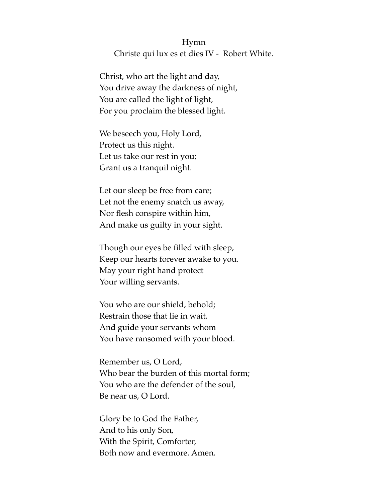## Hymn Christe qui lux es et dies IV - Robert White.

Christ, who art the light and day, You drive away the darkness of night, You are called the light of light, For you proclaim the blessed light.

We beseech you, Holy Lord, Protect us this night. Let us take our rest in you; Grant us a tranquil night.

Let our sleep be free from care; Let not the enemy snatch us away, Nor flesh conspire within him, And make us guilty in your sight.

Though our eyes be filled with sleep, Keep our hearts forever awake to you. May your right hand protect Your willing servants.

You who are our shield, behold; Restrain those that lie in wait. And guide your servants whom You have ransomed with your blood.

Remember us, O Lord, Who bear the burden of this mortal form; You who are the defender of the soul, Be near us, O Lord.

Glory be to God the Father, And to his only Son, With the Spirit, Comforter, Both now and evermore. Amen.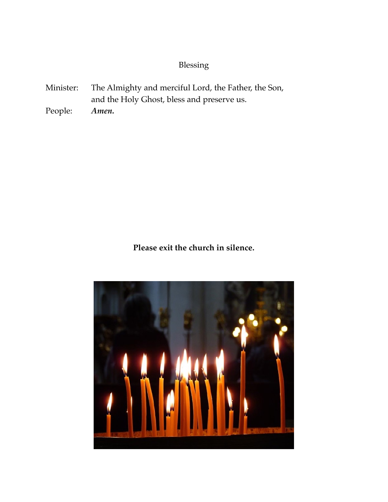# Blessing

- Minister: The Almighty and merciful Lord, the Father, the Son, and the Holy Ghost, bless and preserve us.
- People: *Amen.*

**Please exit the church in silence.**